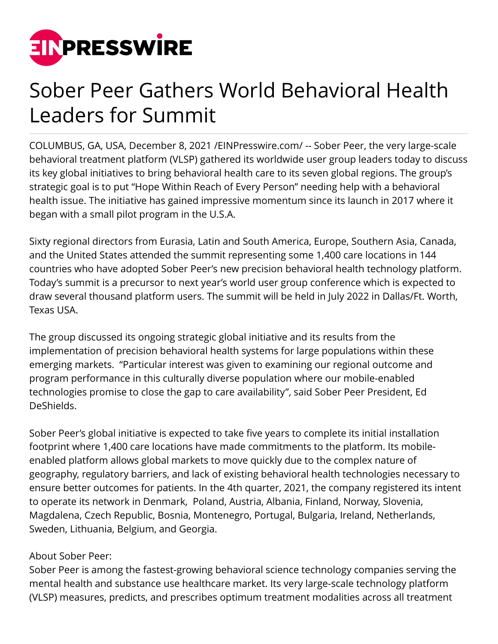

## Sober Peer Gathers World Behavioral Health Leaders for Summit

COLUMBUS, GA, USA, December 8, 2021 /[EINPresswire.com/](http://www.einpresswire.com) -- Sober Peer, the very large-scale behavioral treatment platform (VLSP) gathered its worldwide user group leaders today to discuss its key global initiatives to bring behavioral health care to its seven global regions. The group's strategic goal is to put "Hope Within Reach of Every Person" needing help with a behavioral health issue. The initiative has gained impressive momentum since its launch in 2017 where it began with a small pilot program in the U.S.A.

Sixty regional directors from Eurasia, Latin and South America, Europe, Southern Asia, Canada, and the United States attended the summit representing some 1,400 care locations in 144 countries who have adopted Sober Peer's new precision behavioral health technology platform. Today's summit is a precursor to next year's world user group conference which is expected to draw several thousand platform users. The summit will be held in July 2022 in Dallas/Ft. Worth, Texas USA.

The group discussed its ongoing strategic global initiative and its results from the implementation of precision behavioral health systems for large populations within these emerging markets. "Particular interest was given to examining our regional outcome and program performance in this culturally diverse population where our mobile-enabled technologies promise to close the gap to care availability", said Sober Peer President, Ed DeShields.

Sober Peer's global initiative is expected to take five years to complete its initial installation footprint where 1,400 care locations have made commitments to the platform. Its mobileenabled platform allows global markets to move quickly due to the complex nature of geography, regulatory barriers, and lack of existing behavioral health technologies necessary to ensure better outcomes for patients. In the 4th quarter, 2021, the company registered its intent to operate its network in Denmark, Poland, Austria, Albania, Finland, Norway, Slovenia, Magdalena, Czech Republic, Bosnia, Montenegro, Portugal, Bulgaria, Ireland, Netherlands, Sweden, Lithuania, Belgium, and Georgia.

## About Sober Peer:

Sober Peer is among the fastest-growing behavioral science technology companies serving the mental health and substance use healthcare market. Its very large-scale technology platform (VLSP) measures, predicts, and prescribes optimum treatment modalities across all treatment